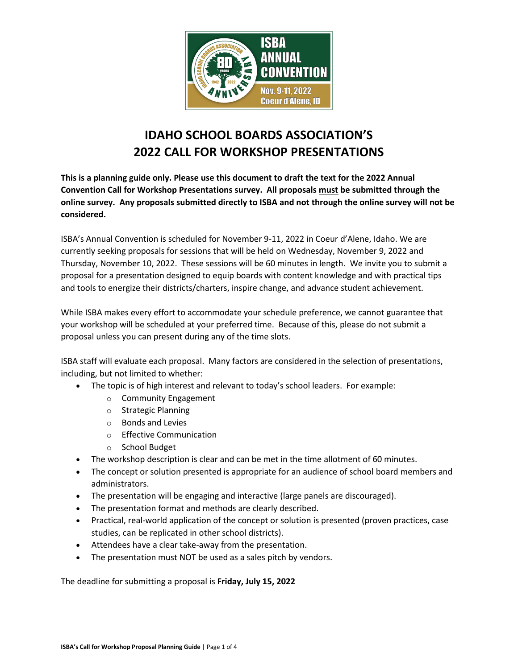

# **IDAHO SCHOOL BOARDS ASSOCIATION'S 2022 CALL FOR WORKSHOP PRESENTATIONS**

**This is a planning guide only. Please use this document to draft the text for the 2022 Annual Convention Call for Workshop Presentations survey. All proposals must be submitted through the online survey. Any proposals submitted directly to ISBA and not through the online survey will not be considered.** 

ISBA's Annual Convention is scheduled for November 9-11, 2022 in Coeur d'Alene, Idaho. We are currently seeking proposals for sessions that will be held on Wednesday, November 9, 2022 and Thursday, November 10, 2022. These sessions will be 60 minutes in length. We invite you to submit a proposal for a presentation designed to equip boards with content knowledge and with practical tips and tools to energize their districts/charters, inspire change, and advance student achievement.

While ISBA makes every effort to accommodate your schedule preference, we cannot guarantee that your workshop will be scheduled at your preferred time. Because of this, please do not submit a proposal unless you can present during any of the time slots.

ISBA staff will evaluate each proposal. Many factors are considered in the selection of presentations, including, but not limited to whether:

- The topic is of high interest and relevant to today's school leaders. For example:
	- o Community Engagement
	- o Strategic Planning
	- o Bonds and Levies
	- o Effective Communication
	- o School Budget
- The workshop description is clear and can be met in the time allotment of 60 minutes.
- The concept or solution presented is appropriate for an audience of school board members and administrators.
- The presentation will be engaging and interactive (large panels are discouraged).
- The presentation format and methods are clearly described.
- Practical, real-world application of the concept or solution is presented (proven practices, case studies, can be replicated in other school districts).
- Attendees have a clear take-away from the presentation.
- The presentation must NOT be used as a sales pitch by vendors.

The deadline for submitting a proposal is **Friday, July 15, 2022**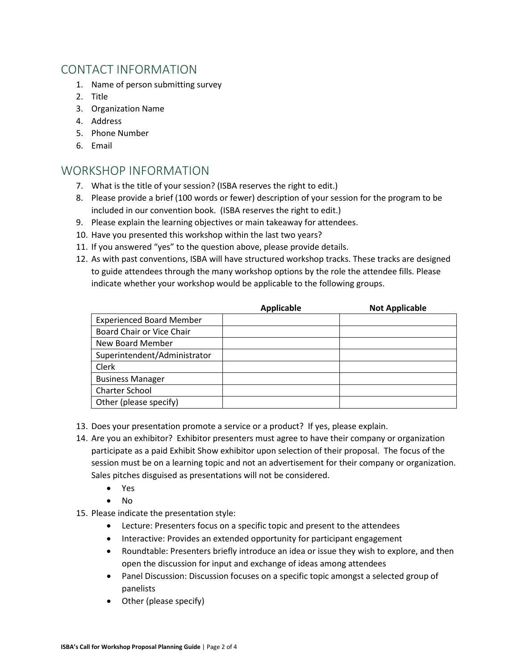### CONTACT INFORMATION

- 1. Name of person submitting survey
- 2. Title
- 3. Organization Name
- 4. Address
- 5. Phone Number
- 6. Email

### WORKSHOP INFORMATION

- 7. What is the title of your session? (ISBA reserves the right to edit.)
- 8. Please provide a brief (100 words or fewer) description of your session for the program to be included in our convention book. (ISBA reserves the right to edit.)
- 9. Please explain the learning objectives or main takeaway for attendees.
- 10. Have you presented this workshop within the last two years?
- 11. If you answered "yes" to the question above, please provide details.
- 12. As with past conventions, ISBA will have structured workshop tracks. These tracks are designed to guide attendees through the many workshop options by the role the attendee fills. Please indicate whether your workshop would be applicable to the following groups.

|                                 | <b>Applicable</b> | <b>Not Applicable</b> |
|---------------------------------|-------------------|-----------------------|
| <b>Experienced Board Member</b> |                   |                       |
| Board Chair or Vice Chair       |                   |                       |
| New Board Member                |                   |                       |
| Superintendent/Administrator    |                   |                       |
| Clerk                           |                   |                       |
| <b>Business Manager</b>         |                   |                       |
| <b>Charter School</b>           |                   |                       |
| Other (please specify)          |                   |                       |

- 13. Does your presentation promote a service or a product? If yes, please explain.
- 14. Are you an exhibitor? Exhibitor presenters must agree to have their company or organization participate as a paid Exhibit Show exhibitor upon selection of their proposal. The focus of the session must be on a learning topic and not an advertisement for their company or organization. Sales pitches disguised as presentations will not be considered.
	- Yes
	- No
- 15. Please indicate the presentation style:
	- Lecture: Presenters focus on a specific topic and present to the attendees
	- Interactive: Provides an extended opportunity for participant engagement
	- Roundtable: Presenters briefly introduce an idea or issue they wish to explore, and then open the discussion for input and exchange of ideas among attendees
	- Panel Discussion: Discussion focuses on a specific topic amongst a selected group of panelists
	- Other (please specify)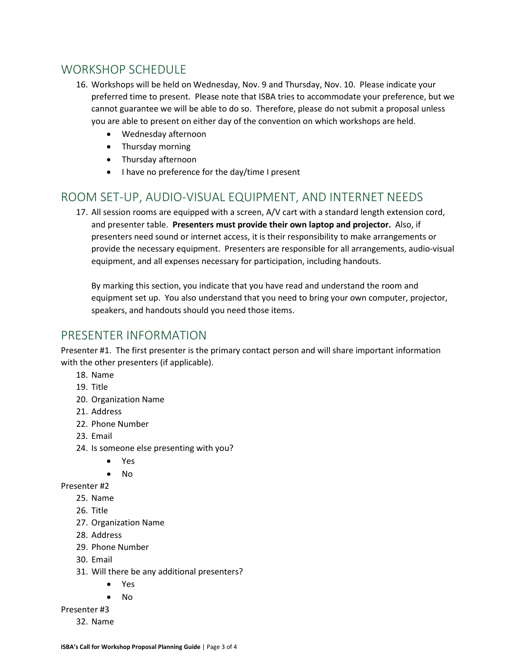## WORKSHOP SCHEDULE

- 16. Workshops will be held on Wednesday, Nov. 9 and Thursday, Nov. 10. Please indicate your preferred time to present. Please note that ISBA tries to accommodate your preference, but we cannot guarantee we will be able to do so. Therefore, please do not submit a proposal unless you are able to present on either day of the convention on which workshops are held.
	- Wednesday afternoon
	- Thursday morning
	- Thursday afternoon
	- I have no preference for the day/time I present

### ROOM SET-UP, AUDIO-VISUAL EQUIPMENT, AND INTERNET NEEDS

17. All session rooms are equipped with a screen, A/V cart with a standard length extension cord, and presenter table. **Presenters must provide their own laptop and projector.** Also, if presenters need sound or internet access, it is their responsibility to make arrangements or provide the necessary equipment. Presenters are responsible for all arrangements, audio-visual equipment, and all expenses necessary for participation, including handouts.

By marking this section, you indicate that you have read and understand the room and equipment set up. You also understand that you need to bring your own computer, projector, speakers, and handouts should you need those items.

#### PRESENTER INFORMATION

Presenter #1. The first presenter is the primary contact person and will share important information with the other presenters (if applicable).

- 18. Name
- 19. Title
- 20. Organization Name
- 21. Address
- 22. Phone Number
- 23. Email
- 24. Is someone else presenting with you?
	- Yes
	- No

Presenter #2

- 25. Name
- 26. Title
- 27. Organization Name
- 28. Address
- 29. Phone Number
- 30. Email
- 31. Will there be any additional presenters?
	- Yes
	- No
- Presenter #3
	- 32. Name